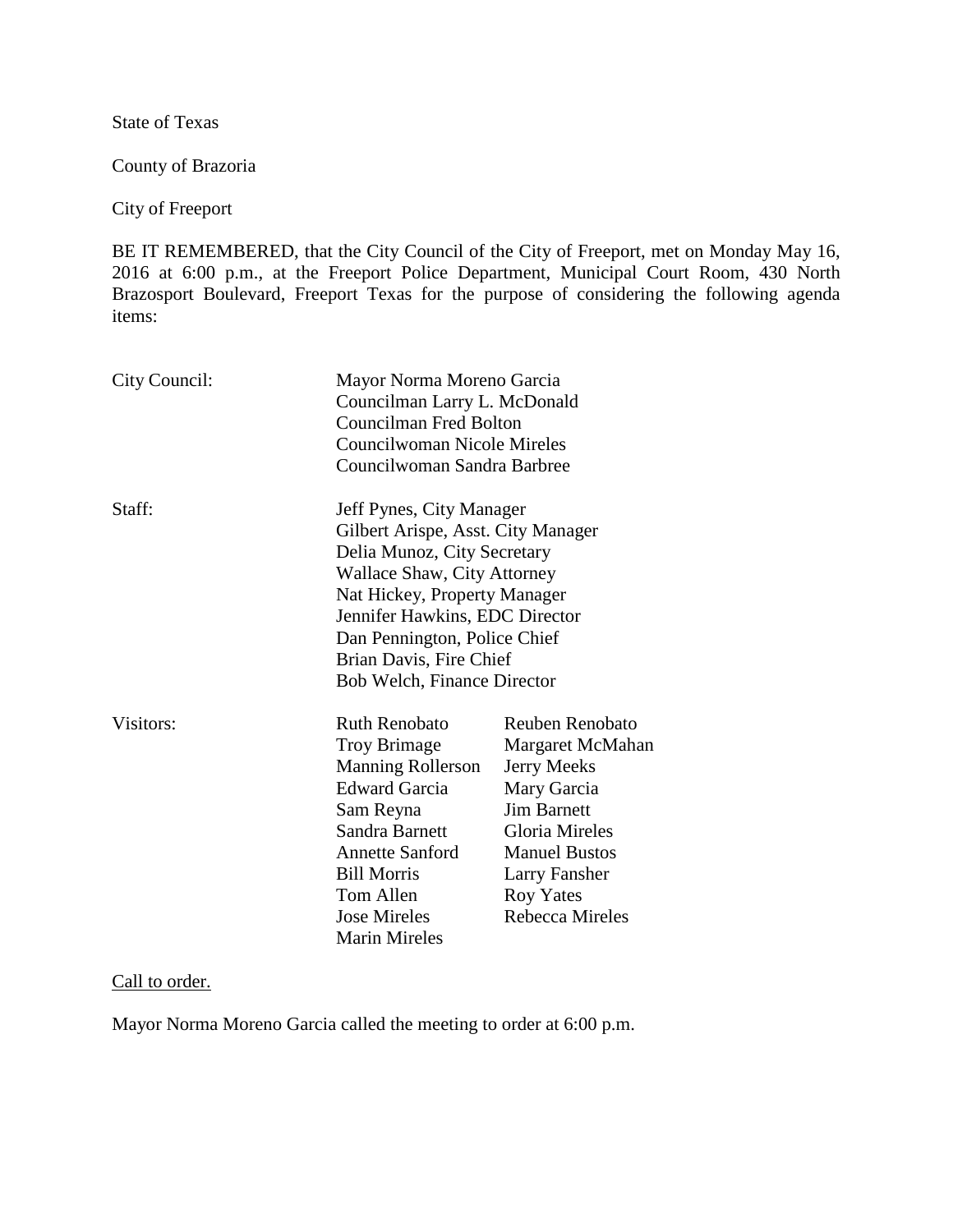State of Texas

County of Brazoria

City of Freeport

BE IT REMEMBERED, that the City Council of the City of Freeport, met on Monday May 16, 2016 at 6:00 p.m., at the Freeport Police Department, Municipal Court Room, 430 North Brazosport Boulevard, Freeport Texas for the purpose of considering the following agenda items:

| City Council: |                                                                                                                                                                                                                                                                                                 | Mayor Norma Moreno Garcia<br>Councilman Larry L. McDonald<br><b>Councilman Fred Bolton</b><br><b>Councilwoman Nicole Mireles</b><br>Councilwoman Sandra Barbree                                         |  |
|---------------|-------------------------------------------------------------------------------------------------------------------------------------------------------------------------------------------------------------------------------------------------------------------------------------------------|---------------------------------------------------------------------------------------------------------------------------------------------------------------------------------------------------------|--|
| Staff:        | Jeff Pynes, City Manager<br>Gilbert Arispe, Asst. City Manager<br>Delia Munoz, City Secretary<br><b>Wallace Shaw, City Attorney</b><br>Nat Hickey, Property Manager<br>Jennifer Hawkins, EDC Director<br>Dan Pennington, Police Chief<br>Brian Davis, Fire Chief<br>Bob Welch, Finance Director |                                                                                                                                                                                                         |  |
| Visitors:     | <b>Ruth Renobato</b><br><b>Troy Brimage</b><br><b>Manning Rollerson</b><br><b>Edward Garcia</b><br>Sam Reyna<br>Sandra Barnett<br><b>Annette Sanford</b><br><b>Bill Morris</b><br>Tom Allen<br><b>Jose Mireles</b><br><b>Marin Mireles</b>                                                      | Reuben Renobato<br>Margaret McMahan<br><b>Jerry Meeks</b><br>Mary Garcia<br><b>Jim Barnett</b><br><b>Gloria Mireles</b><br><b>Manuel Bustos</b><br>Larry Fansher<br><b>Roy Yates</b><br>Rebecca Mireles |  |

Call to order.

Mayor Norma Moreno Garcia called the meeting to order at 6:00 p.m.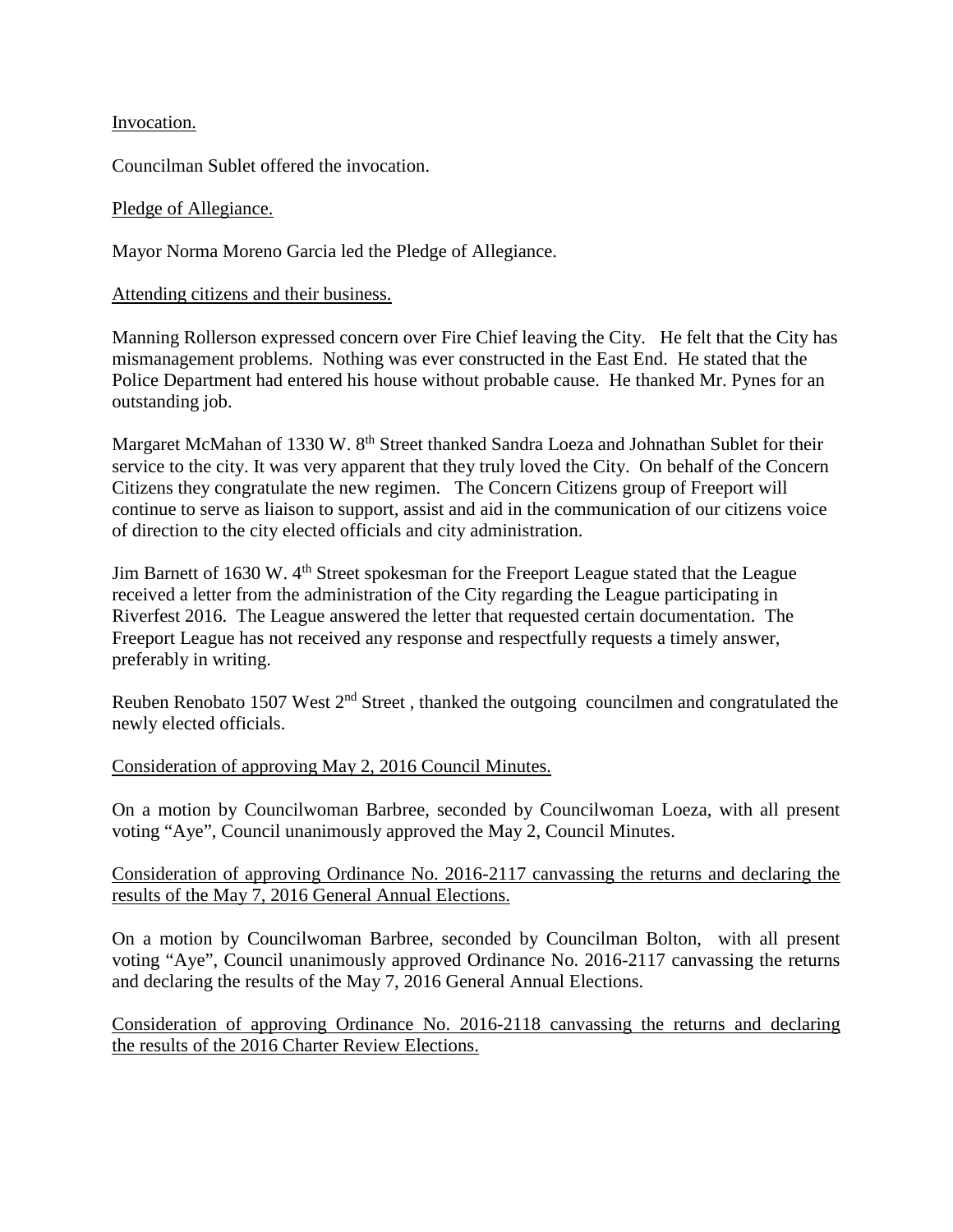Invocation.

Councilman Sublet offered the invocation.

## Pledge of Allegiance.

Mayor Norma Moreno Garcia led the Pledge of Allegiance.

## Attending citizens and their business.

Manning Rollerson expressed concern over Fire Chief leaving the City. He felt that the City has mismanagement problems. Nothing was ever constructed in the East End. He stated that the Police Department had entered his house without probable cause. He thanked Mr. Pynes for an outstanding job.

Margaret McMahan of 1330 W. 8<sup>th</sup> Street thanked Sandra Loeza and Johnathan Sublet for their service to the city. It was very apparent that they truly loved the City. On behalf of the Concern Citizens they congratulate the new regimen. The Concern Citizens group of Freeport will continue to serve as liaison to support, assist and aid in the communication of our citizens voice of direction to the city elected officials and city administration.

Jim Barnett of 1630 W. 4<sup>th</sup> Street spokesman for the Freeport League stated that the League received a letter from the administration of the City regarding the League participating in Riverfest 2016. The League answered the letter that requested certain documentation. The Freeport League has not received any response and respectfully requests a timely answer, preferably in writing.

Reuben Renobato 1507 West 2<sup>nd</sup> Street, thanked the outgoing councilmen and congratulated the newly elected officials.

## Consideration of approving May 2, 2016 Council Minutes.

On a motion by Councilwoman Barbree, seconded by Councilwoman Loeza, with all present voting "Aye", Council unanimously approved the May 2, Council Minutes.

Consideration of approving Ordinance No. 2016-2117 canvassing the returns and declaring the results of the May 7, 2016 General Annual Elections.

On a motion by Councilwoman Barbree, seconded by Councilman Bolton, with all present voting "Aye", Council unanimously approved Ordinance No. 2016-2117 canvassing the returns and declaring the results of the May 7, 2016 General Annual Elections.

Consideration of approving Ordinance No. 2016-2118 canvassing the returns and declaring the results of the 2016 Charter Review Elections.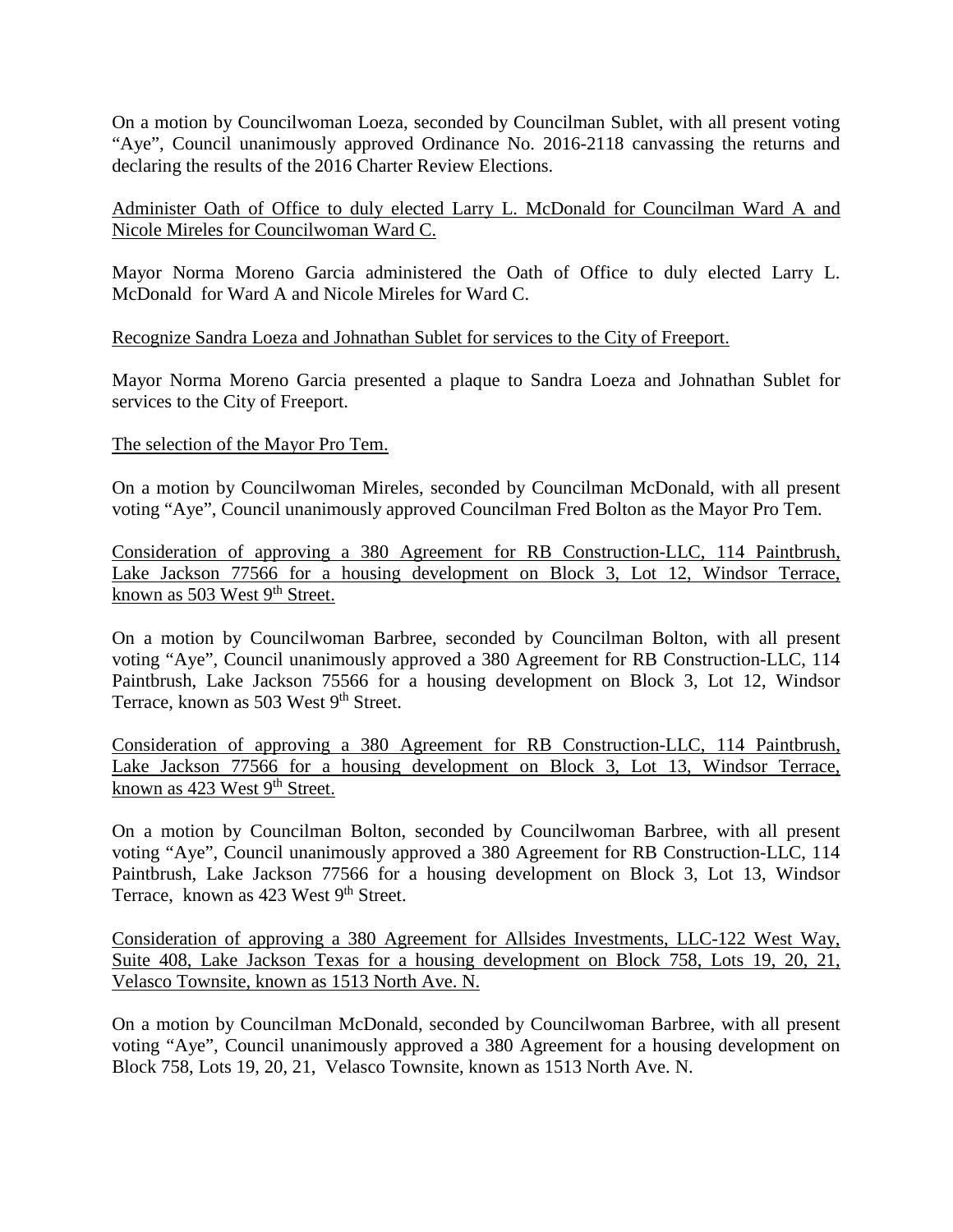On a motion by Councilwoman Loeza, seconded by Councilman Sublet, with all present voting "Aye", Council unanimously approved Ordinance No. 2016-2118 canvassing the returns and declaring the results of the 2016 Charter Review Elections.

Administer Oath of Office to duly elected Larry L. McDonald for Councilman Ward A and Nicole Mireles for Councilwoman Ward C.

Mayor Norma Moreno Garcia administered the Oath of Office to duly elected Larry L. McDonald for Ward A and Nicole Mireles for Ward C.

Recognize Sandra Loeza and Johnathan Sublet for services to the City of Freeport.

Mayor Norma Moreno Garcia presented a plaque to Sandra Loeza and Johnathan Sublet for services to the City of Freeport.

## The selection of the Mayor Pro Tem.

On a motion by Councilwoman Mireles, seconded by Councilman McDonald, with all present voting "Aye", Council unanimously approved Councilman Fred Bolton as the Mayor Pro Tem.

Consideration of approving a 380 Agreement for RB Construction-LLC, 114 Paintbrush, Lake Jackson 77566 for a housing development on Block 3, Lot 12, Windsor Terrace, known as 503 West 9<sup>th</sup> Street.

On a motion by Councilwoman Barbree, seconded by Councilman Bolton, with all present voting "Aye", Council unanimously approved a 380 Agreement for RB Construction-LLC, 114 Paintbrush, Lake Jackson 75566 for a housing development on Block 3, Lot 12, Windsor Terrace, known as 503 West 9<sup>th</sup> Street.

Consideration of approving a 380 Agreement for RB Construction-LLC, 114 Paintbrush, Lake Jackson 77566 for a housing development on Block 3, Lot 13, Windsor Terrace, known as 423 West  $9<sup>th</sup>$  Street.

On a motion by Councilman Bolton, seconded by Councilwoman Barbree, with all present voting "Aye", Council unanimously approved a 380 Agreement for RB Construction-LLC, 114 Paintbrush, Lake Jackson 77566 for a housing development on Block 3, Lot 13, Windsor Terrace, known as  $423$  West 9<sup>th</sup> Street.

Consideration of approving a 380 Agreement for Allsides Investments, LLC-122 West Way, Suite 408, Lake Jackson Texas for a housing development on Block 758, Lots 19, 20, 21, Velasco Townsite, known as 1513 North Ave. N.

On a motion by Councilman McDonald, seconded by Councilwoman Barbree, with all present voting "Aye", Council unanimously approved a 380 Agreement for a housing development on Block 758, Lots 19, 20, 21, Velasco Townsite, known as 1513 North Ave. N.